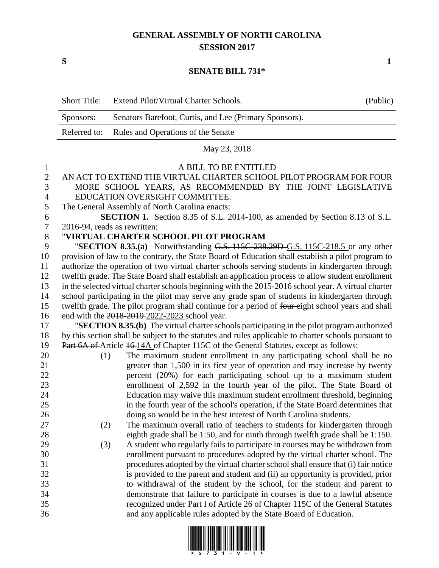## **GENERAL ASSEMBLY OF NORTH CAROLINA SESSION 2017**

**S 1**

## **SENATE BILL 731\***

|                | <b>Short Title:</b> | Extend Pilot/Virtual Charter Schools.                                                                | (Public) |  |  |
|----------------|---------------------|------------------------------------------------------------------------------------------------------|----------|--|--|
|                | Sponsors:           | Senators Barefoot, Curtis, and Lee (Primary Sponsors).                                               |          |  |  |
|                | Referred to:        | Rules and Operations of the Senate                                                                   |          |  |  |
|                |                     | May 23, 2018                                                                                         |          |  |  |
| 1              |                     | A BILL TO BE ENTITLED                                                                                |          |  |  |
| $\overline{2}$ |                     | AN ACT TO EXTEND THE VIRTUAL CHARTER SCHOOL PILOT PROGRAM FOR FOUR                                   |          |  |  |
| 3              |                     | MORE SCHOOL YEARS, AS RECOMMENDED BY THE JOINT LEGISLATIVE                                           |          |  |  |
| $\overline{4}$ |                     | EDUCATION OVERSIGHT COMMITTEE.                                                                       |          |  |  |
| 5              |                     | The General Assembly of North Carolina enacts:                                                       |          |  |  |
| 6              |                     | SECTION 1. Section 8.35 of S.L. 2014-100, as amended by Section 8.13 of S.L.                         |          |  |  |
| 7              |                     | 2016-94, reads as rewritten:                                                                         |          |  |  |
| 8              |                     | "VIRTUAL CHARTER SCHOOL PILOT PROGRAM                                                                |          |  |  |
| 9              |                     | "SECTION 8.35.(a) Notwithstanding G.S. 115C-238.29D-G.S. 115C-218.5 or any other                     |          |  |  |
| 10             |                     | provision of law to the contrary, the State Board of Education shall establish a pilot program to    |          |  |  |
| 11             |                     | authorize the operation of two virtual charter schools serving students in kindergarten through      |          |  |  |
| 12             |                     | twelfth grade. The State Board shall establish an application process to allow student enrollment    |          |  |  |
| 13             |                     | in the selected virtual charter schools beginning with the 2015-2016 school year. A virtual charter  |          |  |  |
| 14             |                     | school participating in the pilot may serve any grade span of students in kindergarten through       |          |  |  |
| 15             |                     | twelfth grade. The pilot program shall continue for a period of four-eight school years and shall    |          |  |  |
| 16             |                     | end with the 2018-2019-2022-2023 school year.                                                        |          |  |  |
| 17             |                     | "SECTION 8.35.(b) The virtual charter schools participating in the pilot program authorized          |          |  |  |
| 18             |                     | by this section shall be subject to the statutes and rules applicable to charter schools pursuant to |          |  |  |
| 19             |                     | Part 6A of Article 16 14A of Chapter 115C of the General Statutes, except as follows:                |          |  |  |
| 20             | (1)                 | The maximum student enrollment in any participating school shall be no                               |          |  |  |
| 21             |                     | greater than 1,500 in its first year of operation and may increase by twenty                         |          |  |  |
| 22             |                     | percent (20%) for each participating school up to a maximum student                                  |          |  |  |
| 23             |                     | enrollment of 2,592 in the fourth year of the pilot. The State Board of                              |          |  |  |
| 24             |                     | Education may waive this maximum student enrollment threshold, beginning                             |          |  |  |
| 25             |                     | in the fourth year of the school's operation, if the State Board determines that                     |          |  |  |
| 26             |                     | doing so would be in the best interest of North Carolina students.                                   |          |  |  |
| 27             | (2)                 | The maximum overall ratio of teachers to students for kindergarten through                           |          |  |  |
| 28             |                     | eighth grade shall be 1:50, and for ninth through twelfth grade shall be 1:150.                      |          |  |  |
| 29             | (3)                 | A student who regularly fails to participate in courses may be withdrawn from                        |          |  |  |
| 30             |                     | enrollment pursuant to procedures adopted by the virtual charter school. The                         |          |  |  |
| 31             |                     | procedures adopted by the virtual charter school shall ensure that (i) fair notice                   |          |  |  |
| 32             |                     | is provided to the parent and student and (ii) an opportunity is provided, prior                     |          |  |  |
| 33             |                     | to withdrawal of the student by the school, for the student and parent to                            |          |  |  |
| 34             |                     | demonstrate that failure to participate in courses is due to a lawful absence                        |          |  |  |
| 35             |                     | recognized under Part I of Article 26 of Chapter 115C of the General Statutes                        |          |  |  |
| 36             |                     | and any applicable rules adopted by the State Board of Education.                                    |          |  |  |

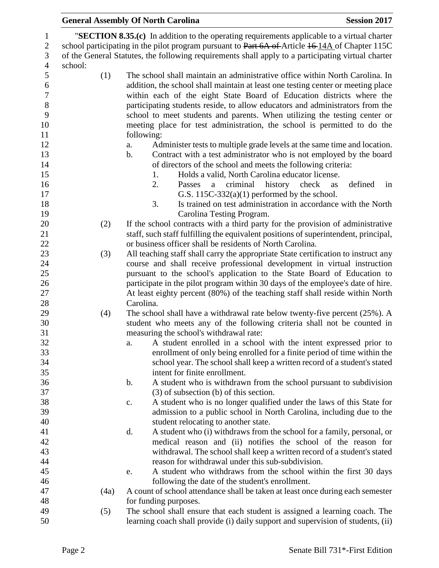|                  |         | <b>General Assembly Of North Carolina</b>                                                                                                           | <b>Session 2017</b> |  |  |  |  |
|------------------|---------|-----------------------------------------------------------------------------------------------------------------------------------------------------|---------------------|--|--|--|--|
| $\mathbf{1}$     |         | "SECTION 8.35.(c) In addition to the operating requirements applicable to a virtual charter                                                         |                     |  |  |  |  |
| $\sqrt{2}$       |         | school participating in the pilot program pursuant to Part 6A of Article 16-14A of Chapter 115C                                                     |                     |  |  |  |  |
| 3                |         | of the General Statutes, the following requirements shall apply to a participating virtual charter                                                  |                     |  |  |  |  |
| $\overline{4}$   | school: |                                                                                                                                                     |                     |  |  |  |  |
| 5                | (1)     | The school shall maintain an administrative office within North Carolina. In                                                                        |                     |  |  |  |  |
| 6                |         | addition, the school shall maintain at least one testing center or meeting place                                                                    |                     |  |  |  |  |
| $\boldsymbol{7}$ |         | within each of the eight State Board of Education districts where the                                                                               |                     |  |  |  |  |
| $\,8\,$          |         | participating students reside, to allow educators and administrators from the                                                                       |                     |  |  |  |  |
| 9                |         | school to meet students and parents. When utilizing the testing center or                                                                           |                     |  |  |  |  |
| 10               |         | meeting place for test administration, the school is permitted to do the                                                                            |                     |  |  |  |  |
| 11               |         | following:                                                                                                                                          |                     |  |  |  |  |
| 12               |         | Administer tests to multiple grade levels at the same time and location.<br>a.                                                                      |                     |  |  |  |  |
| 13               |         | Contract with a test administrator who is not employed by the board<br>$\mathbf b$ .                                                                |                     |  |  |  |  |
| 14               |         | of directors of the school and meets the following criteria:                                                                                        |                     |  |  |  |  |
| 15               |         | Holds a valid, North Carolina educator license.<br>1.                                                                                               |                     |  |  |  |  |
| 16               |         | 2.<br>criminal<br>history check<br>Passes<br>a                                                                                                      | defined<br>in<br>as |  |  |  |  |
| 17               |         | G.S. $115C-332(a)(1)$ performed by the school.                                                                                                      |                     |  |  |  |  |
| 18               |         | 3.<br>Is trained on test administration in accordance with the North                                                                                |                     |  |  |  |  |
| 19               |         | Carolina Testing Program.                                                                                                                           |                     |  |  |  |  |
| 20               | (2)     | If the school contracts with a third party for the provision of administrative                                                                      |                     |  |  |  |  |
| 21               |         | staff, such staff fulfilling the equivalent positions of superintendent, principal,                                                                 |                     |  |  |  |  |
| 22               |         | or business officer shall be residents of North Carolina.                                                                                           |                     |  |  |  |  |
| 23               | (3)     | All teaching staff shall carry the appropriate State certification to instruct any                                                                  |                     |  |  |  |  |
| 24               |         | course and shall receive professional development in virtual instruction                                                                            |                     |  |  |  |  |
| 25               |         | pursuant to the school's application to the State Board of Education to                                                                             |                     |  |  |  |  |
| 26               |         | participate in the pilot program within 30 days of the employee's date of hire.                                                                     |                     |  |  |  |  |
| 27               |         | At least eighty percent (80%) of the teaching staff shall reside within North                                                                       |                     |  |  |  |  |
| 28               |         | Carolina.                                                                                                                                           |                     |  |  |  |  |
| 29               | (4)     | The school shall have a withdrawal rate below twenty-five percent $(25\%)$ . A                                                                      |                     |  |  |  |  |
| 30               |         | student who meets any of the following criteria shall not be counted in                                                                             |                     |  |  |  |  |
| 31               |         | measuring the school's withdrawal rate:                                                                                                             |                     |  |  |  |  |
| 32               |         | A student enrolled in a school with the intent expressed prior to<br>a.                                                                             |                     |  |  |  |  |
| 33               |         | enrollment of only being enrolled for a finite period of time within the                                                                            |                     |  |  |  |  |
| 34               |         | school year. The school shall keep a written record of a student's stated                                                                           |                     |  |  |  |  |
| 35               |         | intent for finite enrollment.                                                                                                                       |                     |  |  |  |  |
| 36               |         | b.<br>A student who is withdrawn from the school pursuant to subdivision                                                                            |                     |  |  |  |  |
| 37<br>38         |         | $(3)$ of subsection (b) of this section.                                                                                                            |                     |  |  |  |  |
| 39               |         | A student who is no longer qualified under the laws of this State for<br>c.<br>admission to a public school in North Carolina, including due to the |                     |  |  |  |  |
| 40               |         | student relocating to another state.                                                                                                                |                     |  |  |  |  |
| 41               |         | d.<br>A student who (i) withdraws from the school for a family, personal, or                                                                        |                     |  |  |  |  |
| 42               |         | medical reason and (ii) notifies the school of the reason for                                                                                       |                     |  |  |  |  |
| 43               |         | withdrawal. The school shall keep a written record of a student's stated                                                                            |                     |  |  |  |  |
| 44               |         | reason for withdrawal under this sub-subdivision.                                                                                                   |                     |  |  |  |  |
| 45               |         | A student who withdraws from the school within the first 30 days<br>e.                                                                              |                     |  |  |  |  |
| 46               |         | following the date of the student's enrollment.                                                                                                     |                     |  |  |  |  |
| 47               | (4a)    | A count of school attendance shall be taken at least once during each semester                                                                      |                     |  |  |  |  |
| 48               |         | for funding purposes.                                                                                                                               |                     |  |  |  |  |
| 49               | (5)     | The school shall ensure that each student is assigned a learning coach. The                                                                         |                     |  |  |  |  |
| 50               |         | learning coach shall provide (i) daily support and supervision of students, (ii)                                                                    |                     |  |  |  |  |